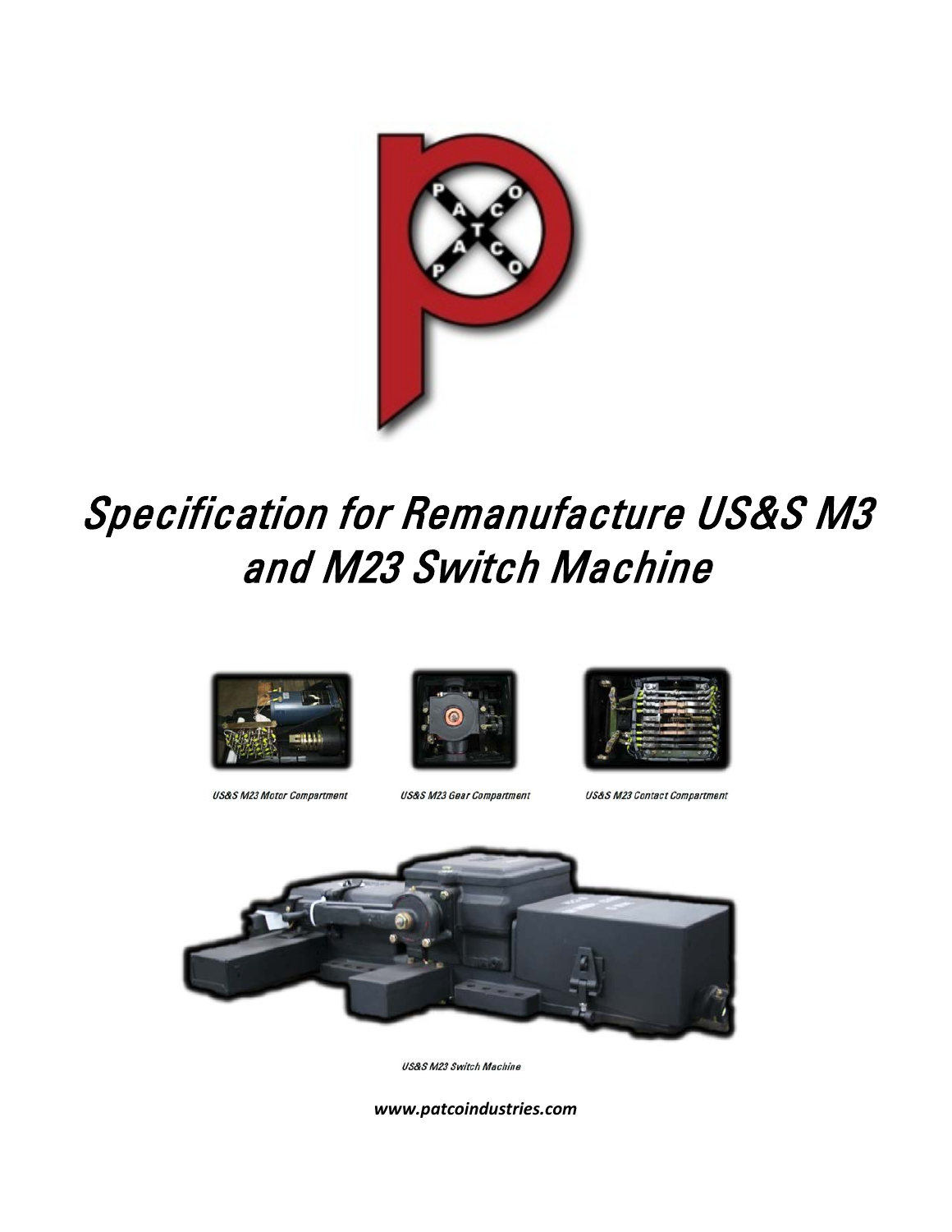

# Specification for Remanufacture US&S M3 and M23 Switch Machine



**US&S M23 Motor Compartment** 



**US&S M23 Gear Compartment** 



**US&S M23 Contact Compartment** 



US&S M23 Switch Machine

*www.patcoindustries.com*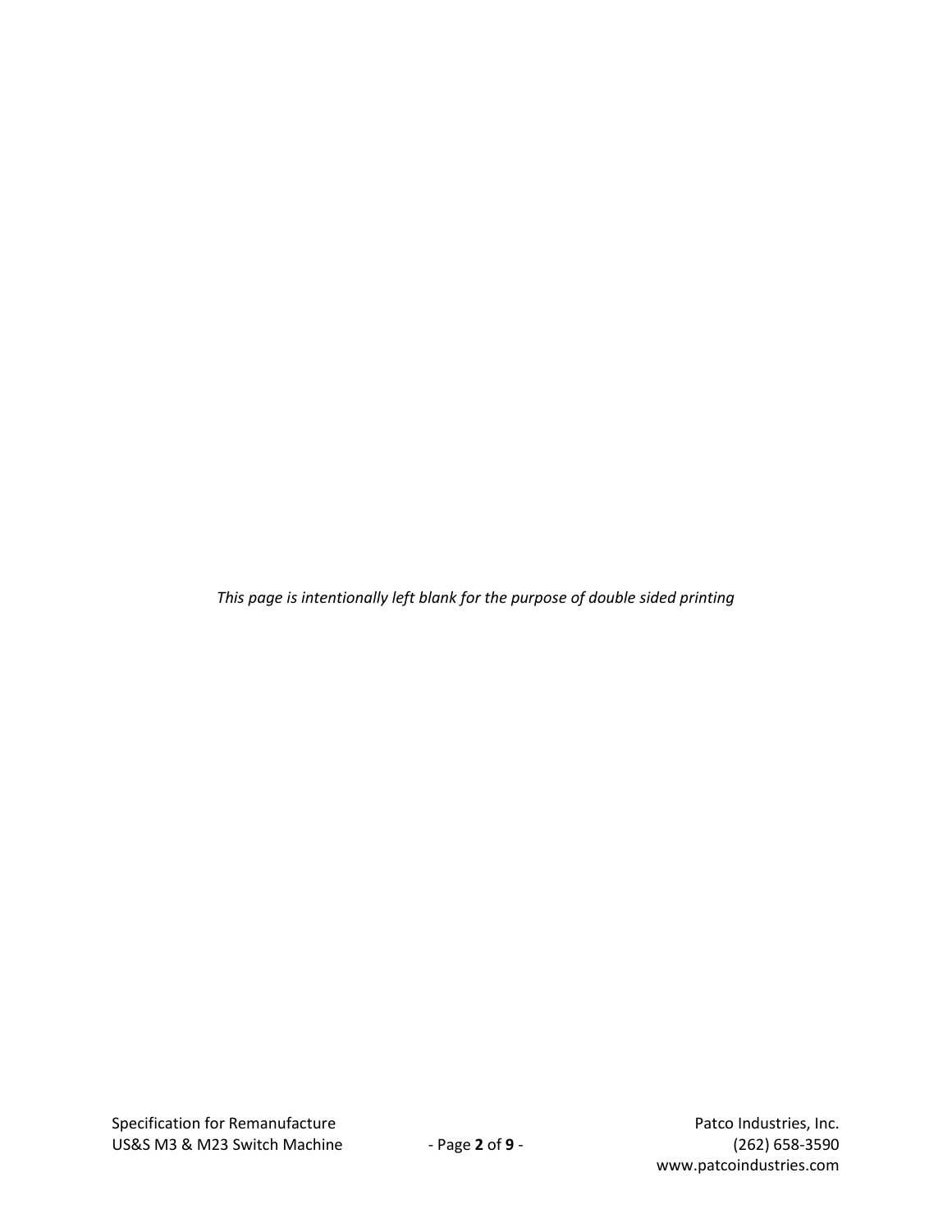*This page is intentionally left blank for the purpose of double sided printing*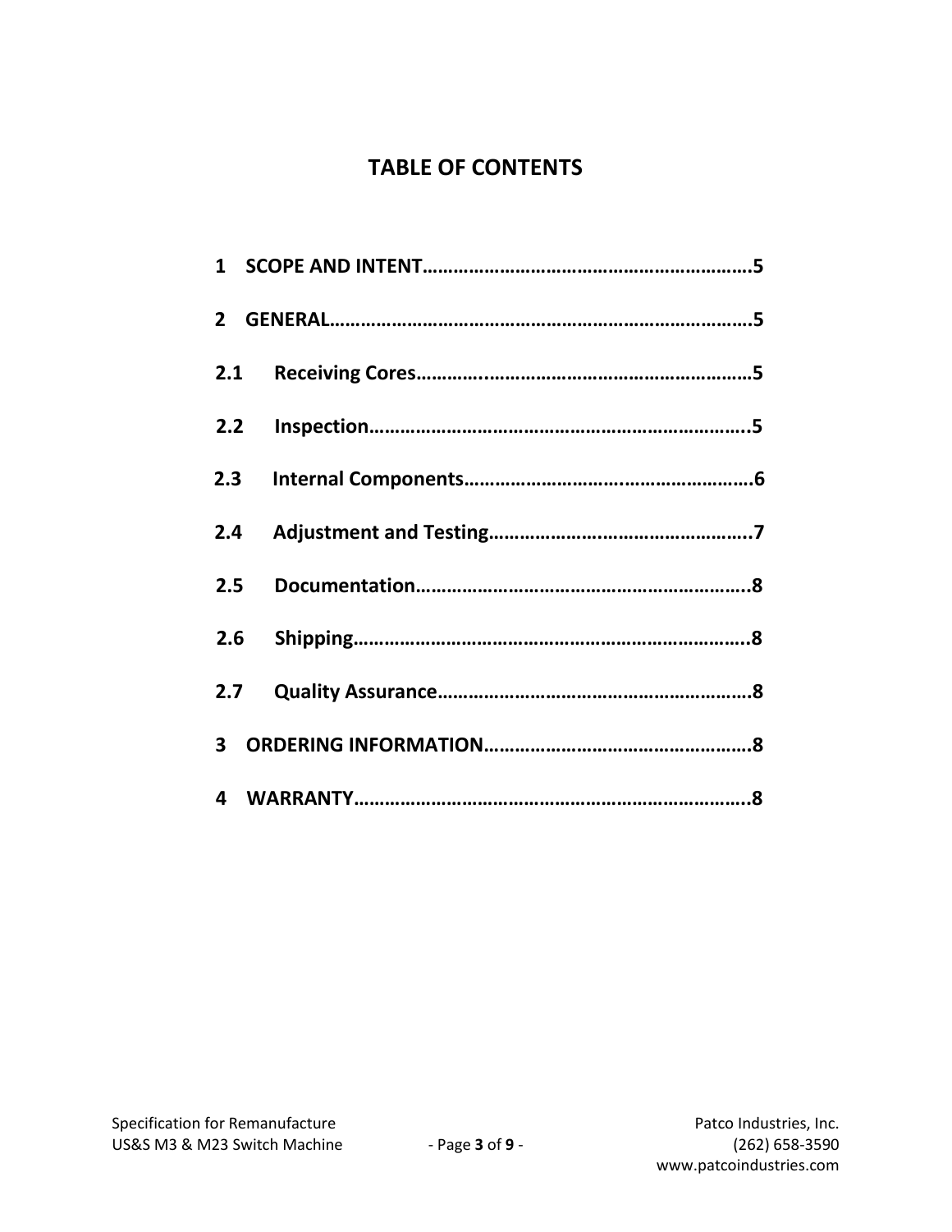# **TABLE OF CONTENTS**

| 2.1 |  |
|-----|--|
| 2.2 |  |
| 2.3 |  |
| 2.4 |  |
| 2.5 |  |
|     |  |
| 2.7 |  |
|     |  |
|     |  |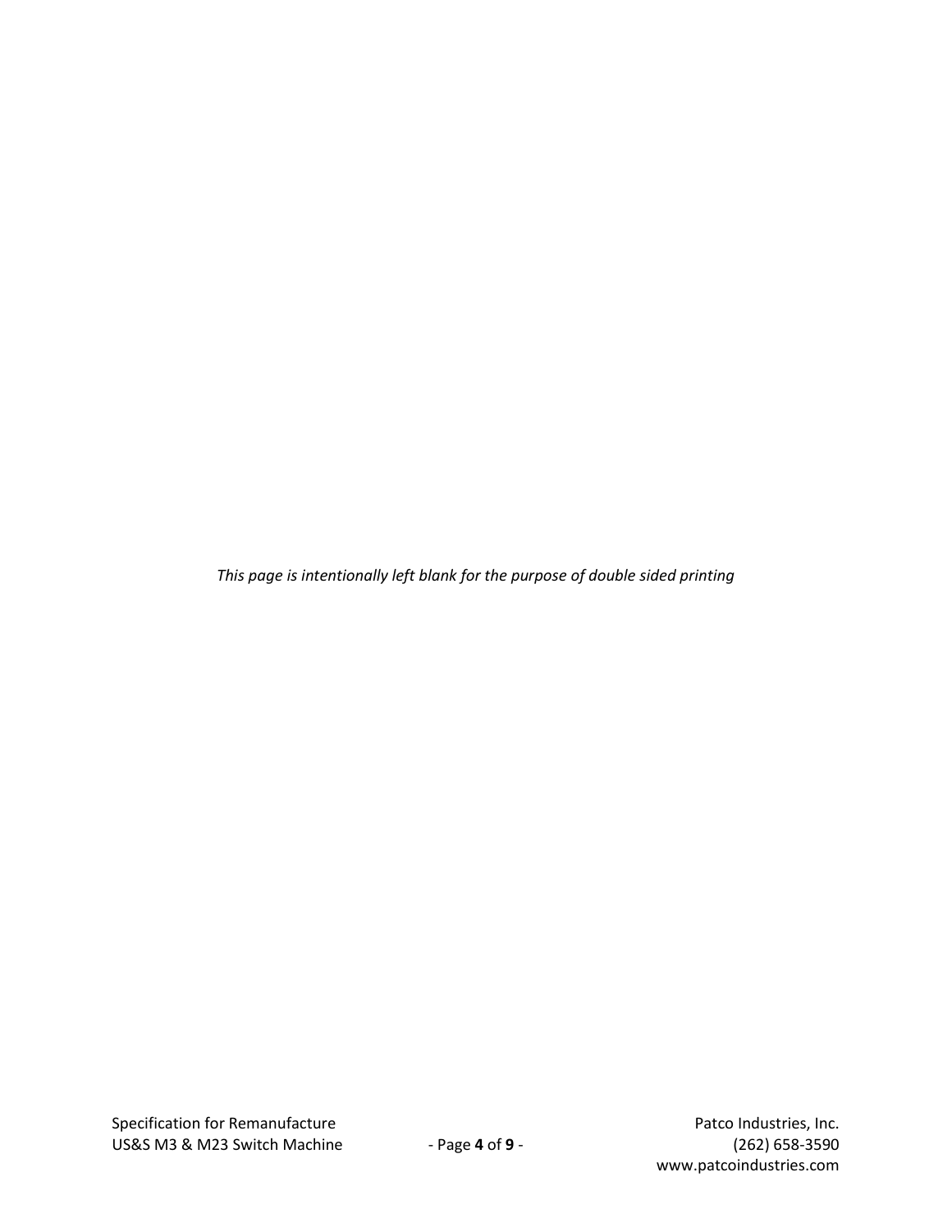*This page is intentionally left blank for the purpose of double sided printing*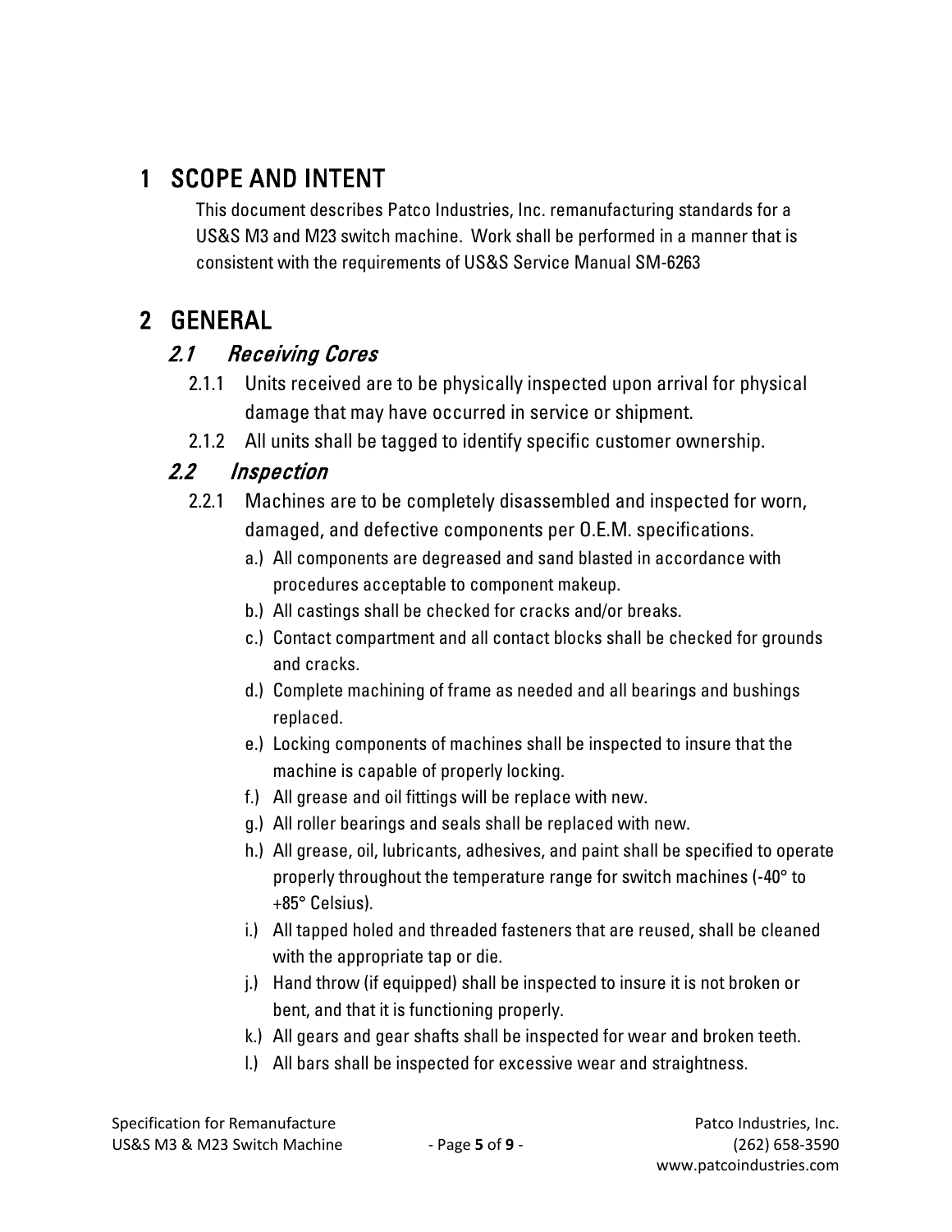# 1 SCOPE AND INTENT

This document describes Patco Industries, Inc. remanufacturing standards for a US&S M3 and M23 switch machine. Work shall be performed in a manner that is consistent with the requirements of US&S Service Manual SM-6263

# 2 GENERAL

# 2.1 Receiving Cores

- 2.1.1 Units received are to be physically inspected upon arrival for physical damage that may have occurred in service or shipment.
- 2.1.2 All units shall be tagged to identify specific customer ownership.

# 2.2 Inspection

- 2.2.1 Machines are to be completely disassembled and inspected for worn, damaged, and defective components per O.E.M. specifications.
	- a.) All components are degreased and sand blasted in accordance with procedures acceptable to component makeup.
	- b.) All castings shall be checked for cracks and/or breaks.
	- c.) Contact compartment and all contact blocks shall be checked for grounds and cracks.
	- d.) Complete machining of frame as needed and all bearings and bushings replaced.
	- e.) Locking components of machines shall be inspected to insure that the machine is capable of properly locking.
	- f.) All grease and oil fittings will be replace with new.
	- g.) All roller bearings and seals shall be replaced with new.
	- h.) All grease, oil, lubricants, adhesives, and paint shall be specified to operate properly throughout the temperature range for switch machines (-40° to +85° Celsius).
	- i.) All tapped holed and threaded fasteners that are reused, shall be cleaned with the appropriate tap or die.
	- j.) Hand throw (if equipped) shall be inspected to insure it is not broken or bent, and that it is functioning properly.
	- k.) All gears and gear shafts shall be inspected for wear and broken teeth.
	- l.) All bars shall be inspected for excessive wear and straightness.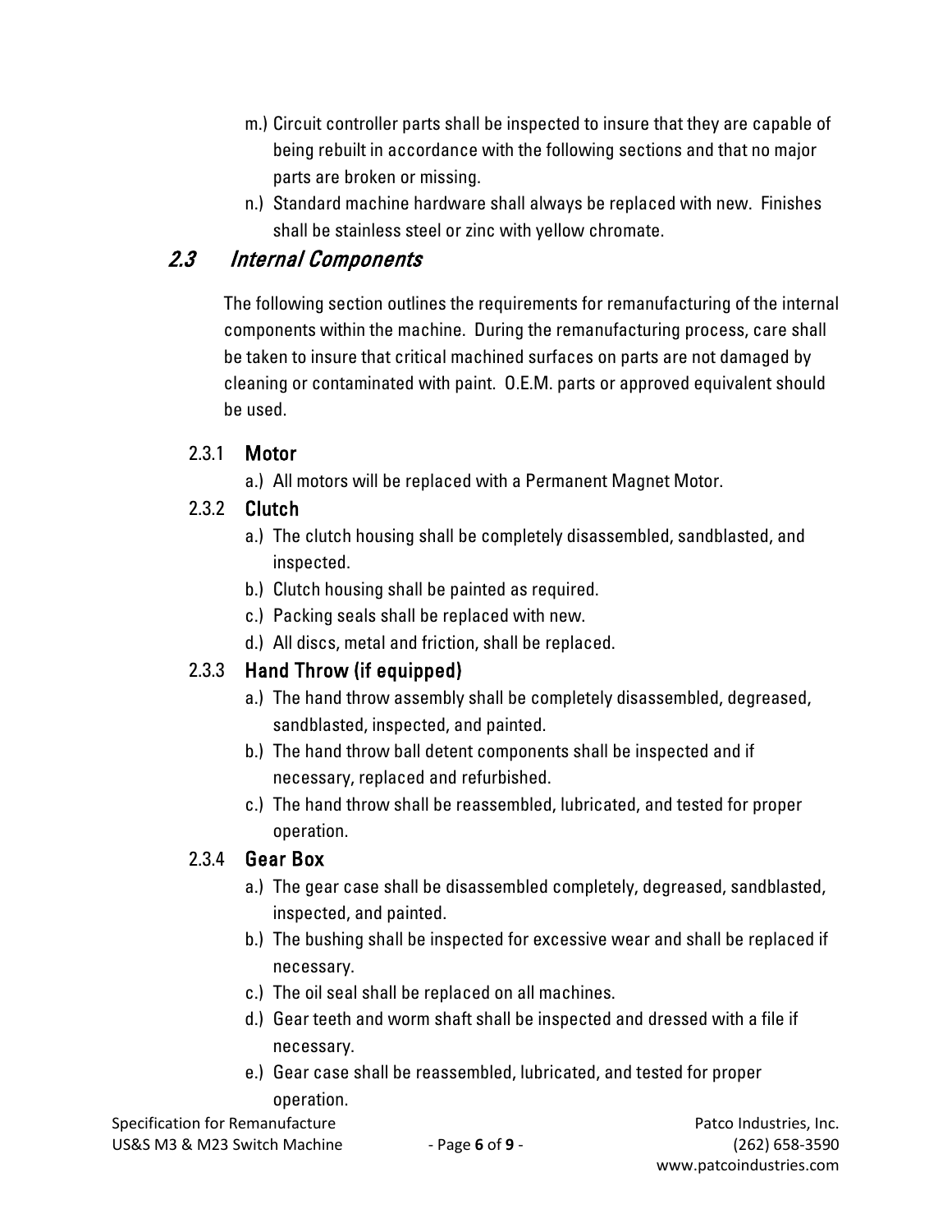- m.) Circuit controller parts shall be inspected to insure that they are capable of being rebuilt in accordance with the following sections and that no major parts are broken or missing.
- n.) Standard machine hardware shall always be replaced with new. Finishes shall be stainless steel or zinc with yellow chromate.

## 2.3 Internal Components

The following section outlines the requirements for remanufacturing of the internal components within the machine. During the remanufacturing process, care shall be taken to insure that critical machined surfaces on parts are not damaged by cleaning or contaminated with paint. O.E.M. parts or approved equivalent should be used.

#### 2.3.1 Motor

a.) All motors will be replaced with a Permanent Magnet Motor.

#### 2.3.2 Clutch

- a.) The clutch housing shall be completely disassembled, sandblasted, and inspected.
- b.) Clutch housing shall be painted as required.
- c.) Packing seals shall be replaced with new.
- d.) All discs, metal and friction, shall be replaced.

## 2.3.3 Hand Throw (if equipped)

- a.) The hand throw assembly shall be completely disassembled, degreased, sandblasted, inspected, and painted.
- b.) The hand throw ball detent components shall be inspected and if necessary, replaced and refurbished.
- c.) The hand throw shall be reassembled, lubricated, and tested for proper operation.

#### 2.3.4 Gear Box

- a.) The gear case shall be disassembled completely, degreased, sandblasted, inspected, and painted.
- b.) The bushing shall be inspected for excessive wear and shall be replaced if necessary.
- c.) The oil seal shall be replaced on all machines.
- d.) Gear teeth and worm shaft shall be inspected and dressed with a file if necessary.
- e.) Gear case shall be reassembled, lubricated, and tested for proper operation.

Specification for Remanufacture **Patco Industries, Inc.** Patco Industries, Inc. US&S M3 & M23 Switch Machine - Page **6** of **9** - (262) 658-3590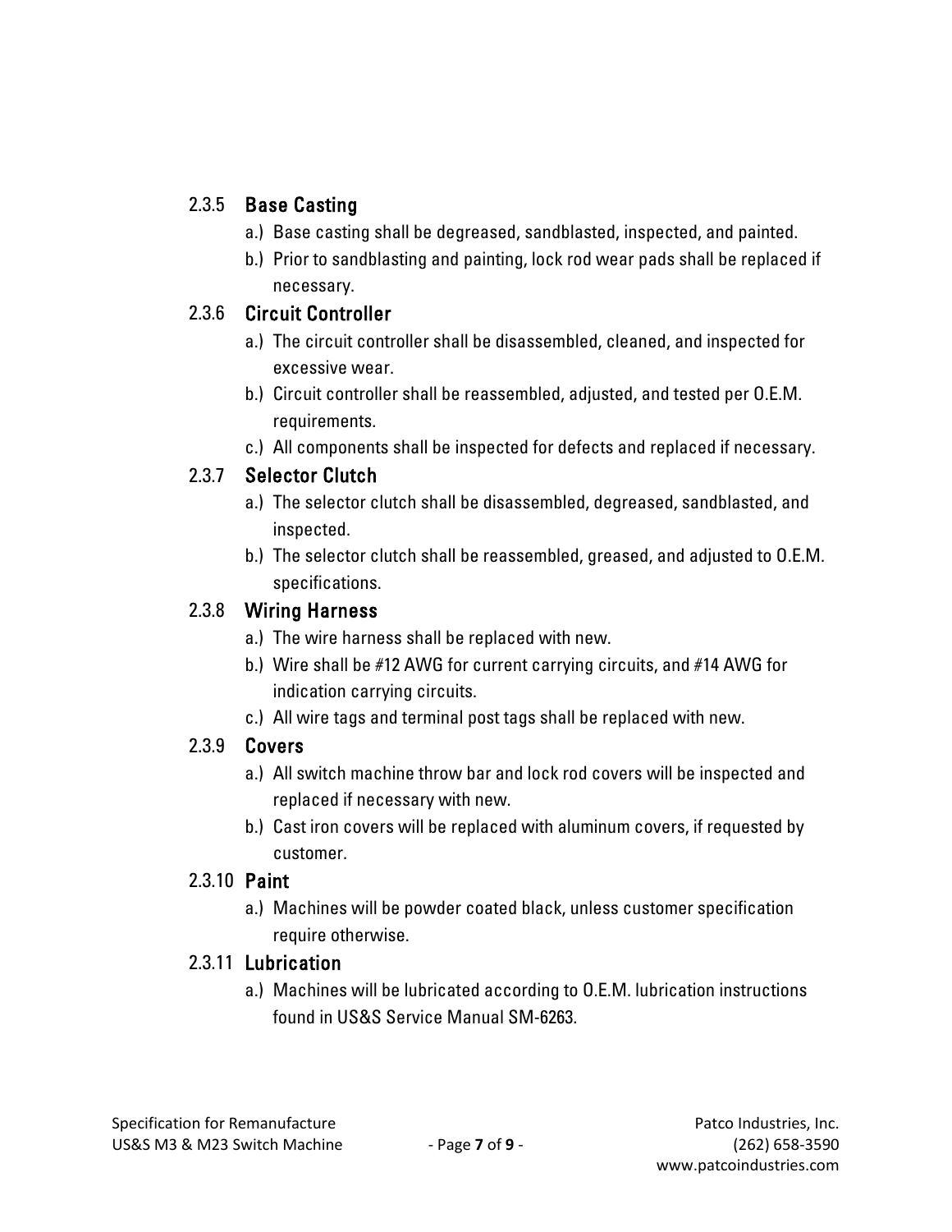#### 2.3.5 Base Casting

- a.) Base casting shall be degreased, sandblasted, inspected, and painted.
- b.) Prior to sandblasting and painting, lock rod wear pads shall be replaced if necessary.

#### 2.3.6 Circuit Controller

- a.) The circuit controller shall be disassembled, cleaned, and inspected for excessive wear.
- b.) Circuit controller shall be reassembled, adjusted, and tested per O.E.M. requirements.
- c.) All components shall be inspected for defects and replaced if necessary.

## 2.3.7 Selector Clutch

- a.) The selector clutch shall be disassembled, degreased, sandblasted, and inspected.
- b.) The selector clutch shall be reassembled, greased, and adjusted to O.E.M. specifications.

#### 2.3.8 Wiring Harness

- a.) The wire harness shall be replaced with new.
- b.) Wire shall be #12 AWG for current carrying circuits, and #14 AWG for indication carrying circuits.
- c.) All wire tags and terminal post tags shall be replaced with new.

#### 2.3.9 Covers

- a.) All switch machine throw bar and lock rod covers will be inspected and replaced if necessary with new.
- b.) Cast iron covers will be replaced with aluminum covers, if requested by customer.

#### 2.3.10 Paint

a.) Machines will be powder coated black, unless customer specification require otherwise.

#### 2.3.11 Lubrication

a.) Machines will be lubricated according to O.E.M. lubrication instructions found in US&S Service Manual SM-6263.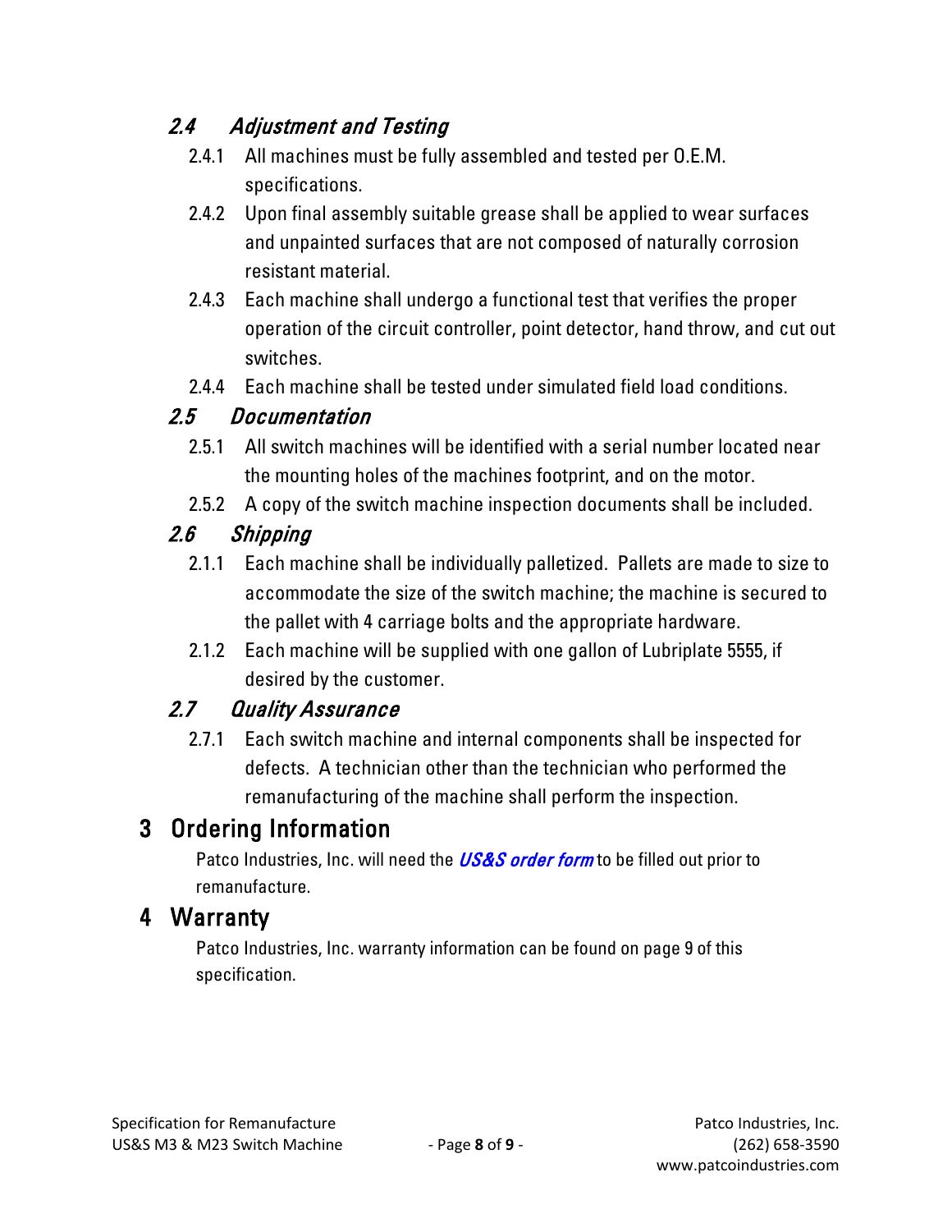# 2.4 Adjustment and Testing

- 2.4.1 All machines must be fully assembled and tested per O.E.M. specifications.
- 2.4.2 Upon final assembly suitable grease shall be applied to wear surfaces and unpainted surfaces that are not composed of naturally corrosion resistant material.
- 2.4.3 Each machine shall undergo a functional test that verifies the proper operation of the circuit controller, point detector, hand throw, and cut out switches.
- 2.4.4 Each machine shall be tested under simulated field load conditions.

## 2.5 Documentation

- 2.5.1 All switch machines will be identified with a serial number located near the mounting holes of the machines footprint, and on the motor.
- 2.5.2 A copy of the switch machine inspection documents shall be included.

## 2.6 Shipping

- 2.1.1 Each machine shall be individually palletized. Pallets are made to size to accommodate the size of the switch machine; the machine is secured to the pallet with 4 carriage bolts and the appropriate hardware.
- 2.1.2 Each machine will be supplied with one gallon of Lubriplate 5555, if desired by the customer.

# 2.7 Quality Assurance

2.7.1 Each switch machine and internal components shall be inspected for defects. A technician other than the technician who performed the remanufacturing of the machine shall perform the inspection.

# 3 Ordering Information

Patco Industries, Inc. will need the **[US&S order form](http://patcoindustries.com/sites/default/files/patco_uss_switch_order_form.pdf)** to be filled out prior to remanufacture.

# 4 Warranty

Patco Industries, Inc. warranty information can be found on page 9 of this specification.